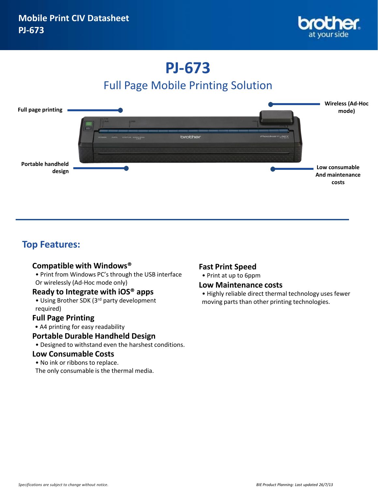

# **PJ-673**

# Full Page Mobile Printing Solution



### **Top Features:**

#### **Compatible with Windows®**

• Print from Windows PC's through the USB interface Or wirelessly (Ad-Hoc mode only)

#### **Ready to Integrate with iOS® apps**

• Using Brother SDK (3rd party development required)

#### **Full Page Printing**

• A4 printing for easy readability

#### **Portable Durable Handheld Design**

• Designed to withstand even the harshest conditions.

#### **Low Consumable Costs**

• No ink or ribbons to replace. The only consumable is the thermal media.

#### **Fast Print Speed**

• Print at up to 6ppm

#### **Low Maintenance costs**

• Highly reliable direct thermal technology uses fewer moving parts than other printing technologies.